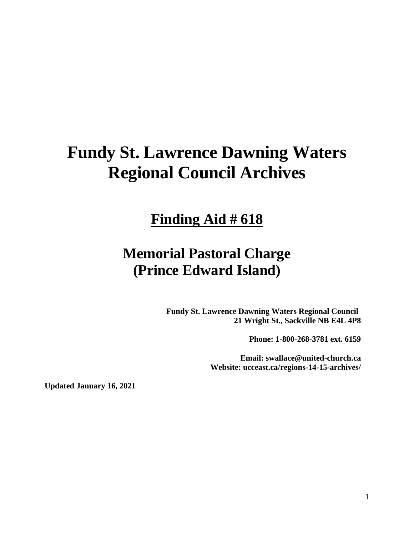# **Fundy St. Lawrence Dawning Waters Regional Council Archives**

## **Finding Aid # 618**

## **Memorial Pastoral Charge (Prince Edward Island)**

**Fundy St. Lawrence Dawning Waters Regional Council 21 Wright St., Sackville NB E4L 4P8**

**Phone: 1-800-268-3781 ext. 6159**

**Email: swallace@united-church.ca Website: ucceast.ca/regions-14-15-archives/**

**Updated January 16, 2021**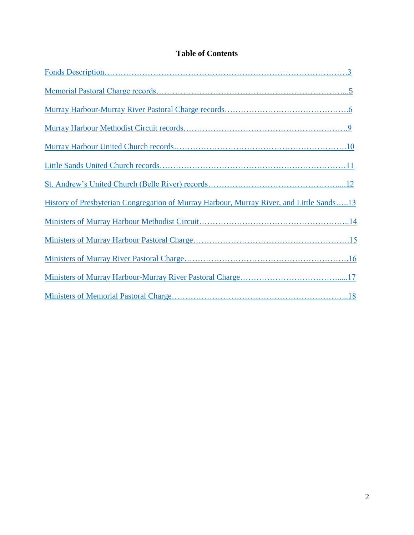### **Table of Contents**

| History of Presbyterian Congregation of Murray Harbour, Murray River, and Little Sands13 |
|------------------------------------------------------------------------------------------|
|                                                                                          |
|                                                                                          |
|                                                                                          |
|                                                                                          |
|                                                                                          |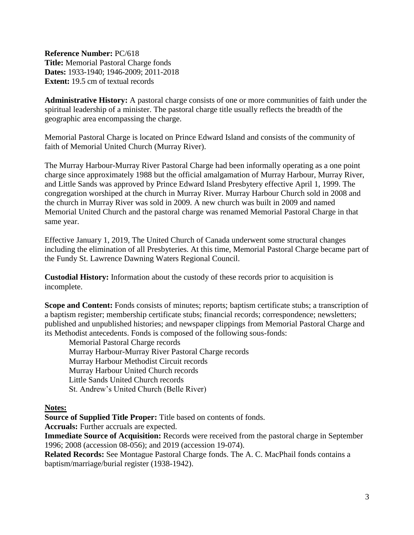<span id="page-2-0"></span>**Reference Number:** PC/618 **Title:** Memorial Pastoral Charge fonds **Dates:** 1933-1940; 1946-2009; 2011-2018 **Extent:** 19.5 cm of textual records

**Administrative History:** A pastoral charge consists of one or more communities of faith under the spiritual leadership of a minister. The pastoral charge title usually reflects the breadth of the geographic area encompassing the charge.

Memorial Pastoral Charge is located on Prince Edward Island and consists of the community of faith of Memorial United Church (Murray River).

The Murray Harbour-Murray River Pastoral Charge had been informally operating as a one point charge since approximately 1988 but the official amalgamation of Murray Harbour, Murray River, and Little Sands was approved by Prince Edward Island Presbytery effective April 1, 1999. The congregation worshiped at the church in Murray River. Murray Harbour Church sold in 2008 and the church in Murray River was sold in 2009. A new church was built in 2009 and named Memorial United Church and the pastoral charge was renamed Memorial Pastoral Charge in that same year.

Effective January 1, 2019, The United Church of Canada underwent some structural changes including the elimination of all Presbyteries. At this time, Memorial Pastoral Charge became part of the Fundy St. Lawrence Dawning Waters Regional Council.

**Custodial History:** Information about the custody of these records prior to acquisition is incomplete.

**Scope and Content:** Fonds consists of minutes; reports; baptism certificate stubs; a transcription of a baptism register; membership certificate stubs; financial records; correspondence; newsletters; published and unpublished histories; and newspaper clippings from Memorial Pastoral Charge and its Methodist antecedents. Fonds is composed of the following sous-fonds:

Memorial Pastoral Charge records Murray Harbour-Murray River Pastoral Charge records Murray Harbour Methodist Circuit records Murray Harbour United Church records Little Sands United Church records St. Andrew's United Church (Belle River)

**Notes:**

**Source of Supplied Title Proper:** Title based on contents of fonds.

**Accruals:** Further accruals are expected.

**Immediate Source of Acquisition:** Records were received from the pastoral charge in September 1996; 2008 (accession 08-056); and 2019 (accession 19-074).

**Related Records:** See Montague Pastoral Charge fonds. The A. C. MacPhail fonds contains a baptism/marriage/burial register (1938-1942).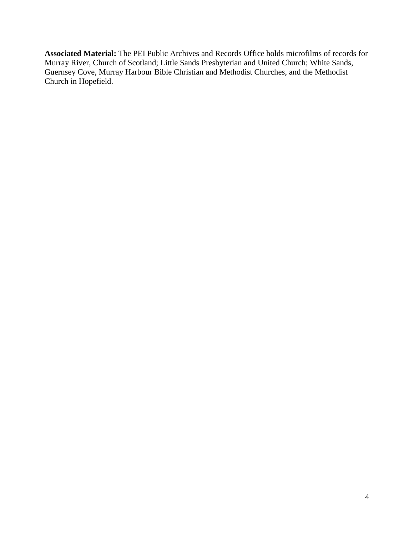**Associated Material:** The PEI Public Archives and Records Office holds microfilms of records for Murray River, Church of Scotland; Little Sands Presbyterian and United Church; White Sands, Guernsey Cove, Murray Harbour Bible Christian and Methodist Churches, and the Methodist Church in Hopefield.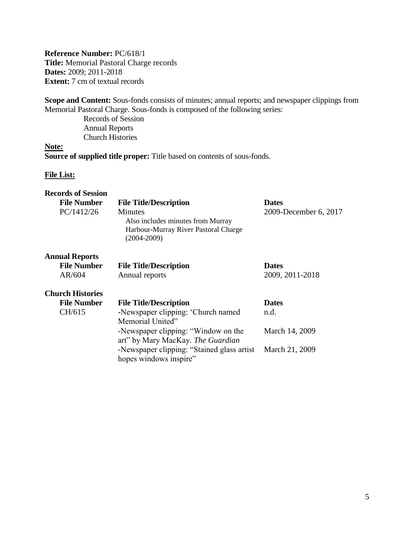<span id="page-4-0"></span>**Reference Number:** PC/618/1 **Title:** Memorial Pastoral Charge records **Dates:** 2009; 2011-2018 **Extent:** 7 cm of textual records

**Scope and Content:** Sous-fonds consists of minutes; annual reports; and newspaper clippings from Memorial Pastoral Charge. Sous-fonds is composed of the following series:

Records of Session Annual Reports Church Histories

**Note: Source of supplied title proper:** Title based on contents of sous-fonds.

| <b>Records of Session</b> |                                                                                                         |                       |
|---------------------------|---------------------------------------------------------------------------------------------------------|-----------------------|
| <b>File Number</b>        | <b>File Title/Description</b>                                                                           | <b>Dates</b>          |
| PC/1412/26                | Minutes<br>Also includes minutes from Murray<br>Harbour-Murray River Pastoral Charge<br>$(2004 - 2009)$ | 2009-December 6, 2017 |
| <b>Annual Reports</b>     |                                                                                                         |                       |
| <b>File Number</b>        | <b>File Title/Description</b>                                                                           | <b>Dates</b>          |
| AR/604                    | Annual reports                                                                                          | 2009, 2011-2018       |
| <b>Church Histories</b>   |                                                                                                         |                       |
| <b>File Number</b>        | <b>File Title/Description</b>                                                                           | <b>Dates</b>          |
| CH/615                    | -Newspaper clipping: 'Church named                                                                      | n.d.                  |
|                           | Memorial United"                                                                                        |                       |
|                           | -Newspaper clipping: "Window on the                                                                     | March 14, 2009        |
|                           | art" by Mary MacKay. The Guardian                                                                       |                       |
|                           | -Newspaper clipping: "Stained glass artist                                                              | March 21, 2009        |
|                           | hopes windows inspire"                                                                                  |                       |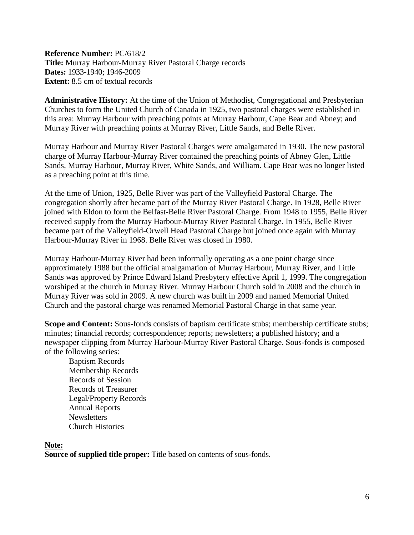<span id="page-5-0"></span>**Reference Number:** PC/618/2 **Title:** Murray Harbour-Murray River Pastoral Charge records **Dates:** 1933-1940; 1946-2009 **Extent:** 8.5 cm of textual records

**Administrative History:** At the time of the Union of Methodist, Congregational and Presbyterian Churches to form the United Church of Canada in 1925, two pastoral charges were established in this area: Murray Harbour with preaching points at Murray Harbour, Cape Bear and Abney; and Murray River with preaching points at Murray River, Little Sands, and Belle River.

Murray Harbour and Murray River Pastoral Charges were amalgamated in 1930. The new pastoral charge of Murray Harbour-Murray River contained the preaching points of Abney Glen, Little Sands, Murray Harbour, Murray River, White Sands, and William. Cape Bear was no longer listed as a preaching point at this time.

At the time of Union, 1925, Belle River was part of the Valleyfield Pastoral Charge. The congregation shortly after became part of the Murray River Pastoral Charge. In 1928, Belle River joined with Eldon to form the Belfast-Belle River Pastoral Charge. From 1948 to 1955, Belle River received supply from the Murray Harbour-Murray River Pastoral Charge. In 1955, Belle River became part of the Valleyfield-Orwell Head Pastoral Charge but joined once again with Murray Harbour-Murray River in 1968. Belle River was closed in 1980.

Murray Harbour-Murray River had been informally operating as a one point charge since approximately 1988 but the official amalgamation of Murray Harbour, Murray River, and Little Sands was approved by Prince Edward Island Presbytery effective April 1, 1999. The congregation worshiped at the church in Murray River. Murray Harbour Church sold in 2008 and the church in Murray River was sold in 2009. A new church was built in 2009 and named Memorial United Church and the pastoral charge was renamed Memorial Pastoral Charge in that same year.

**Scope and Content:** Sous-fonds consists of baptism certificate stubs; membership certificate stubs; minutes; financial records; correspondence; reports; newsletters; a published history; and a newspaper clipping from Murray Harbour-Murray River Pastoral Charge. Sous-fonds is composed of the following series:

Baptism Records Membership Records Records of Session Records of Treasurer Legal/Property Records Annual Reports **Newsletters** Church Histories

**Note:**

**Source of supplied title proper:** Title based on contents of sous-fonds.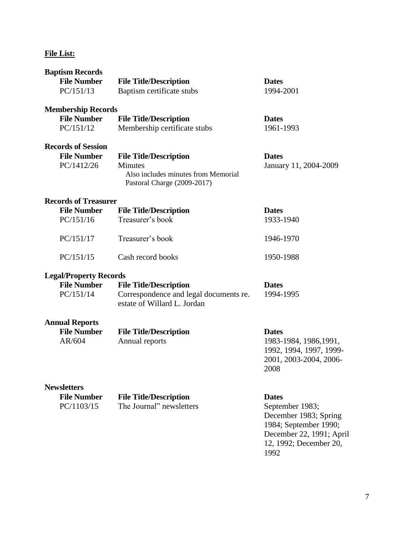| <b>Baptism Records</b>        |                                                                                      |                                |
|-------------------------------|--------------------------------------------------------------------------------------|--------------------------------|
| <b>File Number</b>            | <b>File Title/Description</b>                                                        | <b>Dates</b>                   |
| PC/151/13                     | Baptism certificate stubs                                                            | 1994-2001                      |
| <b>Membership Records</b>     |                                                                                      |                                |
| <b>File Number</b>            | <b>File Title/Description</b>                                                        | <b>Dates</b>                   |
| PC/151/12                     | Membership certificate stubs                                                         | 1961-1993                      |
| <b>Records of Session</b>     |                                                                                      |                                |
| <b>File Number</b>            | <b>File Title/Description</b>                                                        | <b>Dates</b>                   |
| PC/1412/26                    | <b>Minutes</b><br>Also includes minutes from Memorial<br>Pastoral Charge (2009-2017) | January 11, 2004-2009          |
| <b>Records of Treasurer</b>   |                                                                                      |                                |
| <b>File Number</b>            | <b>File Title/Description</b>                                                        | <b>Dates</b>                   |
| PC/151/16                     | Treasurer's book                                                                     | 1933-1940                      |
| PC/151/17                     | Treasurer's book                                                                     | 1946-1970                      |
| PC/151/15                     | Cash record books                                                                    | 1950-1988                      |
| <b>Legal/Property Records</b> |                                                                                      |                                |
| <b>File Number</b>            | <b>File Title/Description</b>                                                        | <b>Dates</b>                   |
| PC/151/14                     | Correspondence and legal documents re.<br>estate of Willard L. Jordan                | 1994-1995                      |
| <b>Annual Reports</b>         |                                                                                      |                                |
| <b>File Number</b>            | <b>File Title/Description</b>                                                        | <b>Dates</b>                   |
| AR/604                        | Annual reports                                                                       | 1983-1984, 1986, 1991,         |
|                               |                                                                                      | 1992, 1994, 1997, 1999-        |
|                               |                                                                                      | 2001, 2003-2004, 2006-<br>2008 |
| <b>Newsletters</b>            |                                                                                      |                                |
| <b>File Number</b>            | <b>File Title/Description</b>                                                        | <b>Dates</b>                   |
| PC/1103/15                    | The Journal" newsletters                                                             | September 1983;                |
|                               |                                                                                      | December 1983; Spring          |
|                               |                                                                                      | 1984; September 1990;          |
|                               |                                                                                      | December 22, 1991; April       |
|                               |                                                                                      | 12, 1992; December 20,         |
|                               |                                                                                      | 1992                           |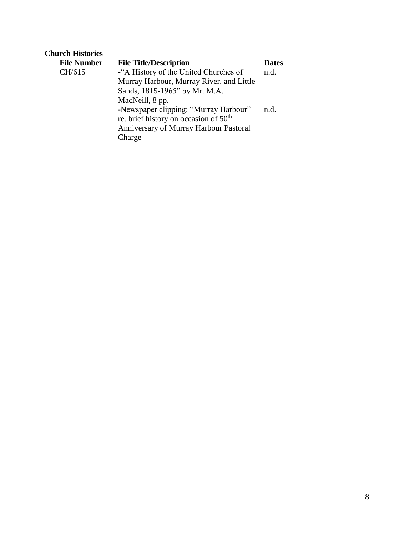| <b>Church Histories</b> |                                                   |              |
|-------------------------|---------------------------------------------------|--------------|
| <b>File Number</b>      | <b>File Title/Description</b>                     | <b>Dates</b> |
| CH/615                  | -"A History of the United Churches of             | n.d.         |
|                         | Murray Harbour, Murray River, and Little          |              |
|                         | Sands, 1815-1965" by Mr. M.A.                     |              |
|                         | MacNeill, 8 pp.                                   |              |
|                         | -Newspaper clipping: "Murray Harbour"             | n.d.         |
|                         | re. brief history on occasion of 50 <sup>th</sup> |              |
|                         | <b>Anniversary of Murray Harbour Pastoral</b>     |              |
|                         | Charge                                            |              |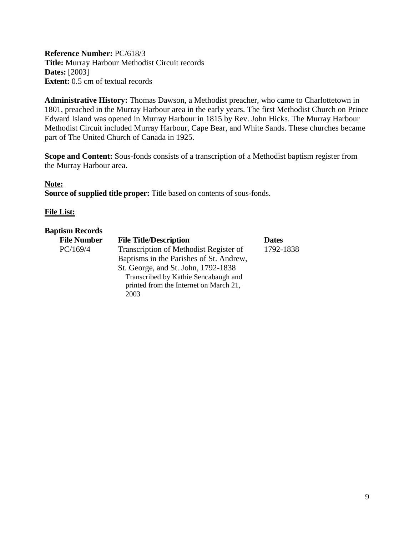<span id="page-8-0"></span>**Reference Number:** PC/618/3 **Title:** Murray Harbour Methodist Circuit records **Dates:** [2003] **Extent:** 0.5 cm of textual records

**Administrative History:** Thomas Dawson, a Methodist preacher, who came to Charlottetown in 1801, preached in the Murray Harbour area in the early years. The first Methodist Church on Prince Edward Island was opened in Murray Harbour in 1815 by Rev. John Hicks. The Murray Harbour Methodist Circuit included Murray Harbour, Cape Bear, and White Sands. These churches became part of The United Church of Canada in 1925.

**Scope and Content:** Sous-fonds consists of a transcription of a Methodist baptism register from the Murray Harbour area.

#### **Note:**

**Source of supplied title proper:** Title based on contents of sous-fonds.

#### **File List:**

#### **Baptism Records**

| <b>File Number</b> | <b>File Title/Description</b>           | <b>Dates</b> |
|--------------------|-----------------------------------------|--------------|
| PC/169/4           | Transcription of Methodist Register of  | 1792-1838    |
|                    | Baptisms in the Parishes of St. Andrew, |              |
|                    | St. George, and St. John, 1792-1838     |              |
|                    | Transcribed by Kathie Sencabaugh and    |              |
|                    | printed from the Internet on March 21,  |              |
|                    | 2003                                    |              |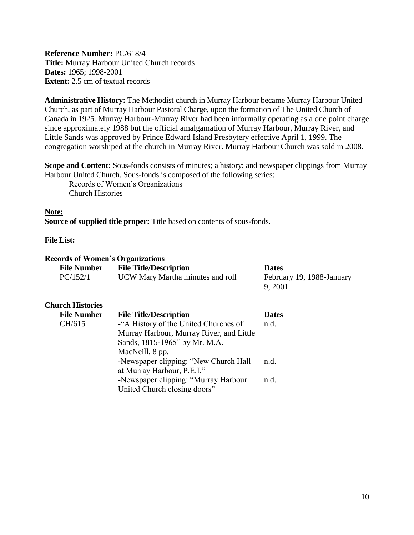<span id="page-9-0"></span>**Reference Number:** PC/618/4 **Title:** Murray Harbour United Church records **Dates:** 1965; 1998-2001 **Extent:** 2.5 cm of textual records

**Administrative History:** The Methodist church in Murray Harbour became Murray Harbour United Church, as part of Murray Harbour Pastoral Charge, upon the formation of The United Church of Canada in 1925. Murray Harbour-Murray River had been informally operating as a one point charge since approximately 1988 but the official amalgamation of Murray Harbour, Murray River, and Little Sands was approved by Prince Edward Island Presbytery effective April 1, 1999. The congregation worshiped at the church in Murray River. Murray Harbour Church was sold in 2008.

**Scope and Content:** Sous-fonds consists of minutes; a history; and newspaper clippings from Murray Harbour United Church. Sous-fonds is composed of the following series:

Records of Women's Organizations Church Histories

#### **Note:**

**Source of supplied title proper:** Title based on contents of sous-fonds.

#### **File List:**

#### **Records of Women's Organizations**

| <b>File Number</b> | <b>File Title/Description</b>    | <b>Dates</b>              |
|--------------------|----------------------------------|---------------------------|
| PC/152/1           | UCW Mary Martha minutes and roll | February 19, 1988-January |
|                    |                                  | 9, 2001                   |

#### **Church Histories**

| <b>File Number</b> | <b>File Title/Description</b>            | <b>Dates</b> |
|--------------------|------------------------------------------|--------------|
| CH/615             | -"A History of the United Churches of    | n.d.         |
|                    | Murray Harbour, Murray River, and Little |              |
|                    | Sands, 1815-1965" by Mr. M.A.            |              |
|                    | MacNeill, 8 pp.                          |              |
|                    | -Newspaper clipping: "New Church Hall    | n.d.         |
|                    | at Murray Harbour, P.E.I."               |              |
|                    | -Newspaper clipping: "Murray Harbour     | n.d.         |
|                    | United Church closing doors"             |              |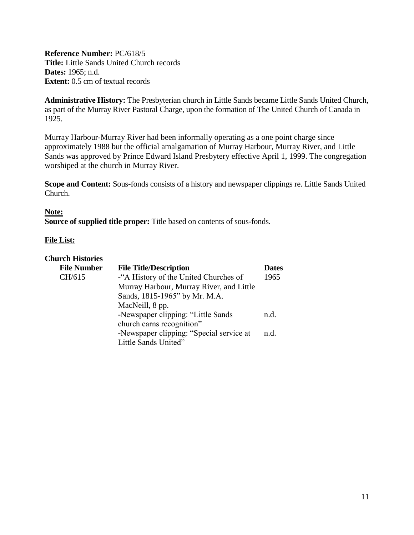<span id="page-10-0"></span>**Reference Number:** PC/618/5 **Title:** Little Sands United Church records **Dates:** 1965; n.d. **Extent:** 0.5 cm of textual records

**Administrative History:** The Presbyterian church in Little Sands became Little Sands United Church, as part of the Murray River Pastoral Charge, upon the formation of The United Church of Canada in 1925.

Murray Harbour-Murray River had been informally operating as a one point charge since approximately 1988 but the official amalgamation of Murray Harbour, Murray River, and Little Sands was approved by Prince Edward Island Presbytery effective April 1, 1999. The congregation worshiped at the church in Murray River.

**Scope and Content:** Sous-fonds consists of a history and newspaper clippings re. Little Sands United Church.

#### **Note:**

**Source of supplied title proper:** Title based on contents of sous-fonds.

| <b>Church Histories</b> |                                          |              |
|-------------------------|------------------------------------------|--------------|
| <b>File Number</b>      | <b>File Title/Description</b>            | <b>Dates</b> |
| CH/615                  | -"A History of the United Churches of    | 1965         |
|                         | Murray Harbour, Murray River, and Little |              |
|                         | Sands, 1815-1965" by Mr. M.A.            |              |
|                         | MacNeill, 8 pp.                          |              |
|                         | -Newspaper clipping: "Little Sands       | n.d.         |
|                         | church earns recognition"                |              |
|                         | -Newspaper clipping: "Special service at | n.d.         |
|                         | Little Sands United"                     |              |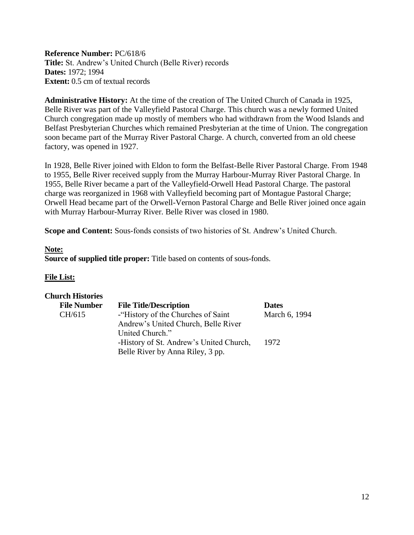<span id="page-11-0"></span>**Reference Number:** PC/618/6 **Title:** St. Andrew's United Church (Belle River) records **Dates:** 1972; 1994 **Extent:**  $0.5$  cm of textual records

**Administrative History:** At the time of the creation of The United Church of Canada in 1925, Belle River was part of the Valleyfield Pastoral Charge. This church was a newly formed United Church congregation made up mostly of members who had withdrawn from the Wood Islands and Belfast Presbyterian Churches which remained Presbyterian at the time of Union. The congregation soon became part of the Murray River Pastoral Charge. A church, converted from an old cheese factory, was opened in 1927.

In 1928, Belle River joined with Eldon to form the Belfast-Belle River Pastoral Charge. From 1948 to 1955, Belle River received supply from the Murray Harbour-Murray River Pastoral Charge. In 1955, Belle River became a part of the Valleyfield-Orwell Head Pastoral Charge. The pastoral charge was reorganized in 1968 with Valleyfield becoming part of Montague Pastoral Charge; Orwell Head became part of the Orwell-Vernon Pastoral Charge and Belle River joined once again with Murray Harbour-Murray River. Belle River was closed in 1980.

**Scope and Content:** Sous-fonds consists of two histories of St. Andrew's United Church.

#### **Note:**

**Source of supplied title proper:** Title based on contents of sous-fonds.

| <b>Church Histories</b> |                                         |               |
|-------------------------|-----------------------------------------|---------------|
| <b>File Number</b>      | <b>File Title/Description</b>           | <b>Dates</b>  |
| CH/615                  | - History of the Churches of Saint      | March 6, 1994 |
|                         | Andrew's United Church, Belle River     |               |
|                         | United Church."                         |               |
|                         | -History of St. Andrew's United Church, | 1972          |
|                         | Belle River by Anna Riley, 3 pp.        |               |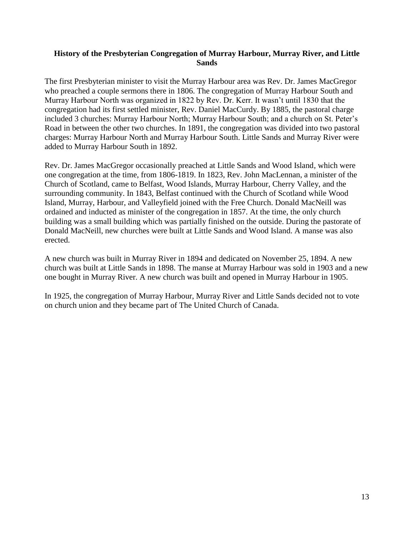#### <span id="page-12-0"></span>**History of the Presbyterian Congregation of Murray Harbour, Murray River, and Little Sands**

The first Presbyterian minister to visit the Murray Harbour area was Rev. Dr. James MacGregor who preached a couple sermons there in 1806. The congregation of Murray Harbour South and Murray Harbour North was organized in 1822 by Rev. Dr. Kerr. It wasn't until 1830 that the congregation had its first settled minister, Rev. Daniel MacCurdy. By 1885, the pastoral charge included 3 churches: Murray Harbour North; Murray Harbour South; and a church on St. Peter's Road in between the other two churches. In 1891, the congregation was divided into two pastoral charges: Murray Harbour North and Murray Harbour South. Little Sands and Murray River were added to Murray Harbour South in 1892.

Rev. Dr. James MacGregor occasionally preached at Little Sands and Wood Island, which were one congregation at the time, from 1806-1819. In 1823, Rev. John MacLennan, a minister of the Church of Scotland, came to Belfast, Wood Islands, Murray Harbour, Cherry Valley, and the surrounding community. In 1843, Belfast continued with the Church of Scotland while Wood Island, Murray, Harbour, and Valleyfield joined with the Free Church. Donald MacNeill was ordained and inducted as minister of the congregation in 1857. At the time, the only church building was a small building which was partially finished on the outside. During the pastorate of Donald MacNeill, new churches were built at Little Sands and Wood Island. A manse was also erected.

A new church was built in Murray River in 1894 and dedicated on November 25, 1894. A new church was built at Little Sands in 1898. The manse at Murray Harbour was sold in 1903 and a new one bought in Murray River. A new church was built and opened in Murray Harbour in 1905.

In 1925, the congregation of Murray Harbour, Murray River and Little Sands decided not to vote on church union and they became part of The United Church of Canada.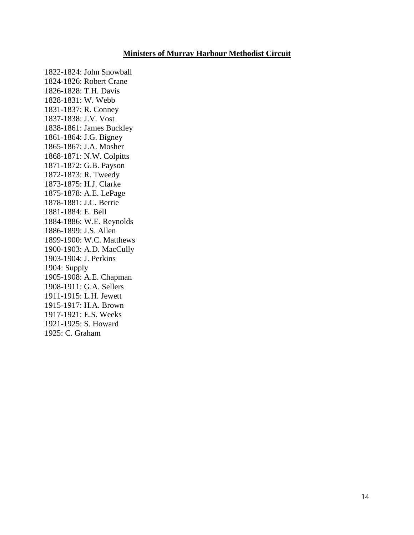#### **Ministers of Murray Harbour Methodist Circuit**

<span id="page-13-0"></span>1822-1824: John Snowball 1824-1826: Robert Crane 1826-1828: T.H. Davis 1828-1831: W. Webb 1831-1837: R. Conney 1837-1838: J.V. Vost 1838-1861: James Buckley 1861-1864: J.G. Bigney 1865-1867: J.A. Mosher 1868-1871: N.W. Colpitts 1871-1872: G.B. Payson 1872-1873: R. Tweedy 1873-1875: H.J. Clarke 1875-1878: A.E. LePage 1878-1881: J.C. Berrie 1881-1884: E. Bell 1884-1886: W.E. Reynolds 1886-1899: J.S. Allen 1899-1900: W.C. Matthews 1900-1903: A.D. MacCully 1903-1904: J. Perkins 1904: Supply 1905-1908: A.E. Chapman 1908-1911: G.A. Sellers 1911-1915: L.H. Jewett 1915-1917: H.A. Brown 1917-1921: E.S. Weeks 1921-1925: S. Howard 1925: C. Graham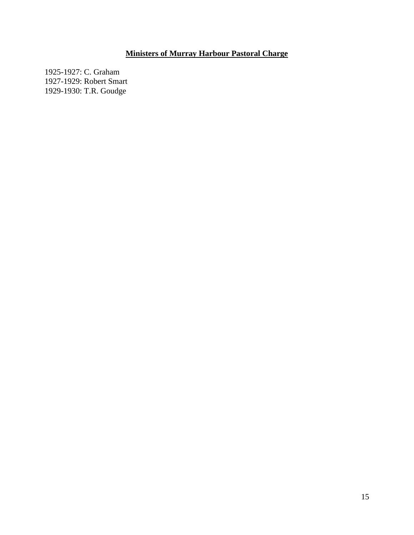## **Ministers of Murray Harbour Pastoral Charge**

<span id="page-14-0"></span>1925-1927: C. Graham 1927-1929: Robert Smart 1929-1930: T.R. Goudge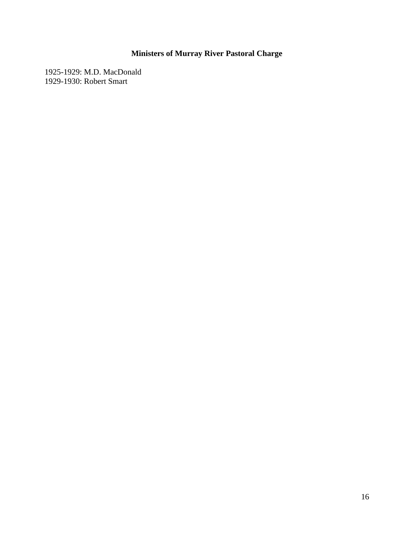## **Ministers of Murray River Pastoral Charge**

<span id="page-15-0"></span>1925-1929: M.D. MacDonald 1929-1930: Robert Smart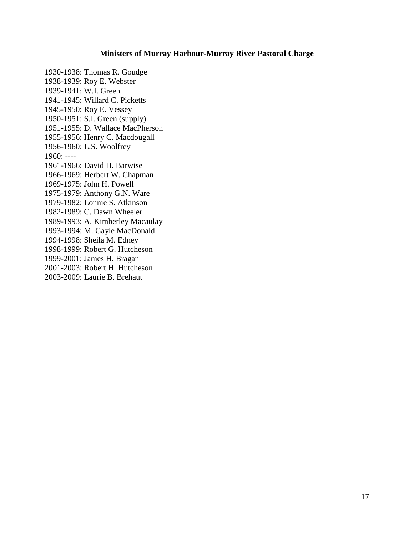#### **Ministers of Murray Harbour-Murray River Pastoral Charge**

1930-1938: Thomas R. Goudge 1938-1939: Roy E. Webster 1939-1941: W.I. Green 1941-1945: Willard C. Picketts 1945-1950: Roy E. Vessey 1950-1951: S.I. Green (supply) 1951-1955: D. Wallace MacPherson 1955-1956: Henry C. Macdougall 1956-1960: L.S. Woolfrey 1960: ---- 1961-1966: David H. Barwise 1966-1969: Herbert W. Chapman 1969-1975: John H. Powell 1975-1979: Anthony G.N. Ware 1979-1982: Lonnie S. Atkinson 1982-1989: C. Dawn Wheeler 1989-1993: A. Kimberley Macaulay 1993-1994: M. Gayle MacDonald 1994-1998: Sheila M. Edney 1998-1999: Robert G. Hutcheson 1999-2001: James H. Bragan 2001-2003: Robert H. Hutcheson 2003-2009: Laurie B. Brehaut